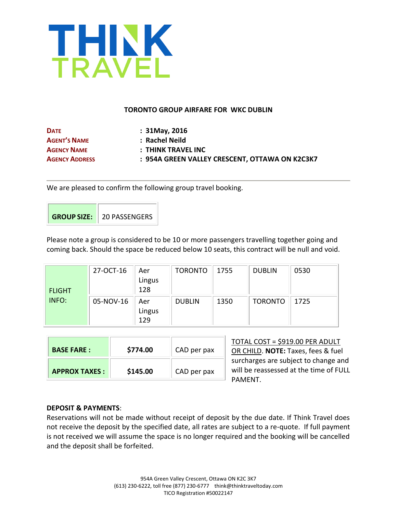

### **TORONTO GROUP AIRFARE FOR WKC DUBLIN**

| <b>DATE</b>           | $: 31$ May, 2016                               |
|-----------------------|------------------------------------------------|
| <b>AGENT'S NAME</b>   | : Rachel Neild                                 |
| <b>AGENCY NAME</b>    | : THINK TRAVEL INC                             |
| <b>AGENCY ADDRESS</b> | : 954A GREEN VALLEY CRESCENT, OTTAWA ON K2C3K7 |
|                       |                                                |

We are pleased to confirm the following group travel booking.

| <b>GROUP SIZE:</b> 20 PASSENGERS |
|----------------------------------|

Please note a group is considered to be 10 or more passengers travelling together going and coming back. Should the space be reduced below 10 seats, this contract will be null and void.

| <b>FLIGHT</b> | 27-OCT-16 | Aer<br>Lingus<br>128 | <b>TORONTO</b> | 1755 | <b>DUBLIN</b>  | 0530 |
|---------------|-----------|----------------------|----------------|------|----------------|------|
| INFO:         | 05-NOV-16 | Aer<br>Lingus<br>129 | <b>DUBLIN</b>  | 1350 | <b>TORONTO</b> | 1725 |

| <b>BASE FARE:</b>    | \$774.00 | CAD per pax | TOTAL COST = \$919.00 PER ADULT<br>OR CHILD. NOTE: Taxes, fees & fuel                     |
|----------------------|----------|-------------|-------------------------------------------------------------------------------------------|
| <b>APPROX TAXES:</b> | \$145.00 | CAD per pax | surcharges are subject to change and<br>will be reassessed at the time of FULL<br>PAMFNT. |

# **DEPOSIT & PAYMENTS**:

Reservations will not be made without receipt of deposit by the due date. If Think Travel does not receive the deposit by the specified date, all rates are subject to a re-quote. If full payment is not received we will assume the space is no longer required and the booking will be cancelled and the deposit shall be forfeited.